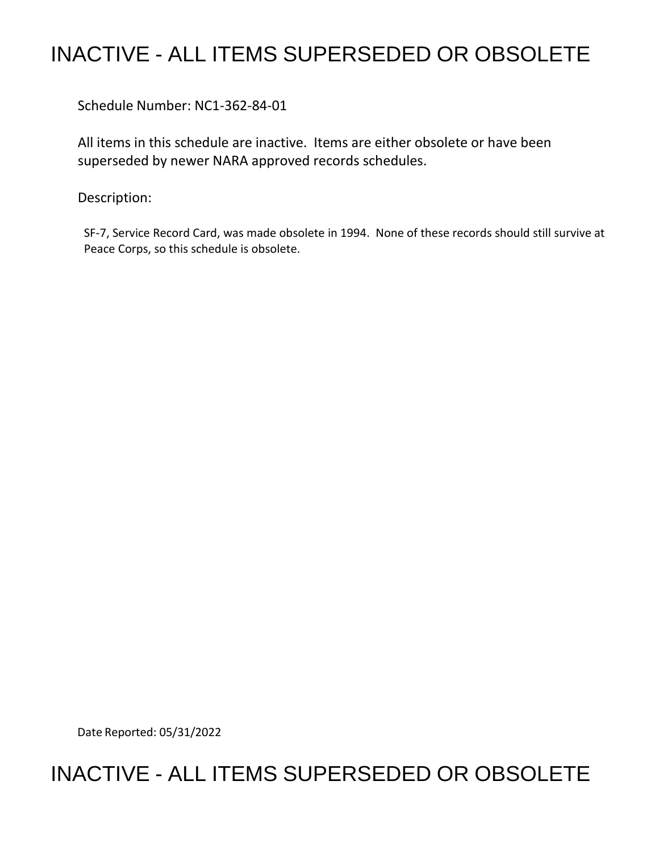## INACTIVE - ALL ITEMS SUPERSEDED OR OBSOLETE

Schedule Number: NC1-362-84-01

 All items in this schedule are inactive. Items are either obsolete or have been superseded by newer NARA approved records schedules.

Description:

 SF-7, Service Record Card, was made obsolete in 1994. None of these records should still survive at Peace Corps, so this schedule is obsolete.

Date Reported: 05/31/2022

## INACTIVE - ALL ITEMS SUPERSEDED OR OBSOLETE